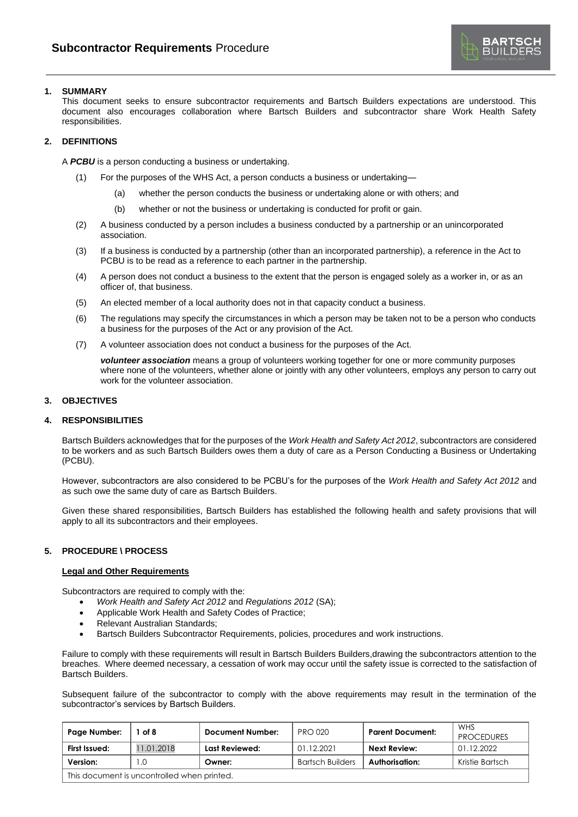

# **1. SUMMARY**

This document seeks to ensure subcontractor requirements and Bartsch Builders expectations are understood. This document also encourages collaboration where Bartsch Builders and subcontractor share Work Health Safety responsibilities.

## **2. DEFINITIONS**

A *PCBU* is a person conducting a business or undertaking.

- (1) For the purposes of the WHS Act, a person conducts a business or undertaking—
	- (a) whether the person conducts the business or undertaking alone or with others; and
	- (b) whether or not the business or undertaking is conducted for profit or gain.
- (2) A business conducted by a person includes a business conducted by a partnership or an unincorporated association.
- (3) If a business is conducted by a partnership (other than an incorporated partnership), a reference in the Act to PCBU is to be read as a reference to each partner in the partnership.
- (4) A person does not conduct a business to the extent that the person is engaged solely as a worker in, or as an officer of, that business.
- (5) An elected member of a local authority does not in that capacity conduct a business.
- (6) The regulations may specify the circumstances in which a person may be taken not to be a person who conducts a business for the purposes of the Act or any provision of the Act.
- (7) A volunteer association does not conduct a business for the purposes of the Act.

*volunteer association* means a group of volunteers working together for one or more community purposes where none of the volunteers, whether alone or jointly with any other volunteers, employs any person to carry out work for the volunteer association.

# **3. OBJECTIVES**

## **4. RESPONSIBILITIES**

Bartsch Builders acknowledges that for the purposes of the *Work Health and Safety Act 2012*, subcontractors are considered to be workers and as such Bartsch Builders owes them a duty of care as a Person Conducting a Business or Undertaking (PCBU).

However, subcontractors are also considered to be PCBU's for the purposes of the *Work Health and Safety Act 2012* and as such owe the same duty of care as Bartsch Builders.

Given these shared responsibilities, Bartsch Builders has established the following health and safety provisions that will apply to all its subcontractors and their employees.

## **5. PROCEDURE \ PROCESS**

#### **Legal and Other Requirements**

Subcontractors are required to comply with the:

- *Work Health and Safety Act 2012* and *Regulations 2012* (SA);
- Applicable Work Health and Safety Codes of Practice;
- Relevant Australian Standards;
- Bartsch Builders Subcontractor Requirements, policies, procedures and work instructions.

Failure to comply with these requirements will result in Bartsch Builders Builders, drawing the subcontractors attention to the breaches. Where deemed necessary, a cessation of work may occur until the safety issue is corrected to the satisfaction of Bartsch Builders.

Subsequent failure of the subcontractor to comply with the above requirements may result in the termination of the subcontractor's services by Bartsch Builders.

| Page Number:                                | of 8       | <b>Document Number:</b> | <b>PRO 020</b>          | <b>Parent Document:</b> | WHS<br><b>PROCEDURES</b> |
|---------------------------------------------|------------|-------------------------|-------------------------|-------------------------|--------------------------|
| First Issued:                               | 11.01.2018 | Last Reviewed:          | 01.12.2021              | Next Review:            | 01.12.2022               |
| Version:                                    | 0. ا       | Owner:                  | <b>Bartsch Builders</b> | Authorisation:          | Kristie Bartsch          |
| This document is uncontrolled when printed. |            |                         |                         |                         |                          |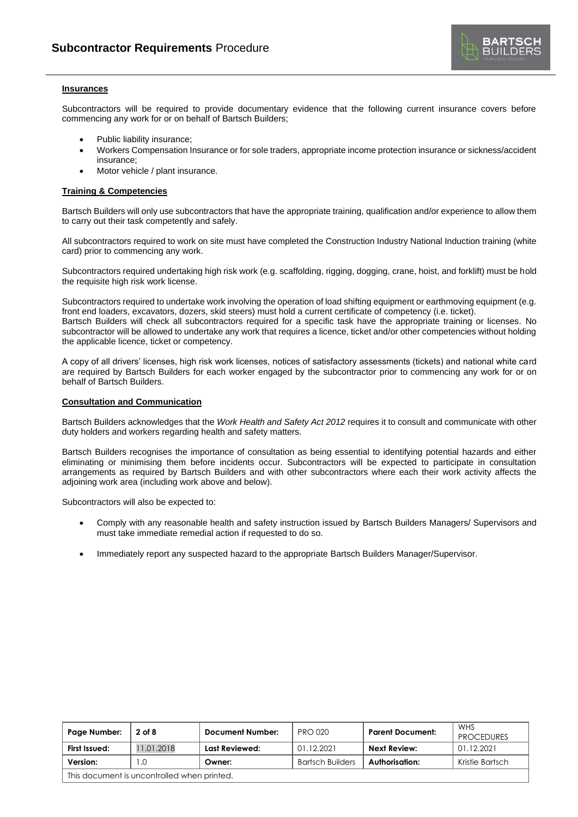

## **Insurances**

Subcontractors will be required to provide documentary evidence that the following current insurance covers before commencing any work for or on behalf of Bartsch Builders;

- Public liability insurance;
- Workers Compensation Insurance or for sole traders, appropriate income protection insurance or sickness/accident insurance;
- Motor vehicle / plant insurance.

# **Training & Competencies**

Bartsch Builders will only use subcontractors that have the appropriate training, qualification and/or experience to allow them to carry out their task competently and safely.

All subcontractors required to work on site must have completed the Construction Industry National Induction training (white card) prior to commencing any work.

Subcontractors required undertaking high risk work (e.g. scaffolding, rigging, dogging, crane, hoist, and forklift) must be hold the requisite high risk work license.

Subcontractors required to undertake work involving the operation of load shifting equipment or earthmoving equipment (e.g. front end loaders, excavators, dozers, skid steers) must hold a current certificate of competency (i.e. ticket). Bartsch Builders will check all subcontractors required for a specific task have the appropriate training or licenses. No subcontractor will be allowed to undertake any work that requires a licence, ticket and/or other competencies without holding the applicable licence, ticket or competency.

A copy of all drivers' licenses, high risk work licenses, notices of satisfactory assessments (tickets) and national white card are required by Bartsch Builders for each worker engaged by the subcontractor prior to commencing any work for or on behalf of Bartsch Builders.

#### **Consultation and Communication**

Bartsch Builders acknowledges that the *Work Health and Safety Act 2012* requires it to consult and communicate with other duty holders and workers regarding health and safety matters.

Bartsch Builders recognises the importance of consultation as being essential to identifying potential hazards and either eliminating or minimising them before incidents occur. Subcontractors will be expected to participate in consultation arrangements as required by Bartsch Builders and with other subcontractors where each their work activity affects the adjoining work area (including work above and below).

Subcontractors will also be expected to:

- Comply with any reasonable health and safety instruction issued by Bartsch Builders Managers/ Supervisors and must take immediate remedial action if requested to do so.
- Immediately report any suspected hazard to the appropriate Bartsch Builders Manager/Supervisor.

| Page Number:                                | $2$ of 8  | <b>Document Number:</b> | <b>PRO 020</b>          | <b>Parent Document:</b> | <b>WHS</b><br><b>PROCEDURES</b> |
|---------------------------------------------|-----------|-------------------------|-------------------------|-------------------------|---------------------------------|
| First Issued:                               | 1.01.2018 | Last Reviewed:          | 01.12.2021              | Next Review:            | 01.12.2021                      |
| Version:                                    | . .0      | Owner:                  | <b>Bartsch Builders</b> | Authorisation:          | Kristie Bartsch                 |
| This document is uncontrolled when printed. |           |                         |                         |                         |                                 |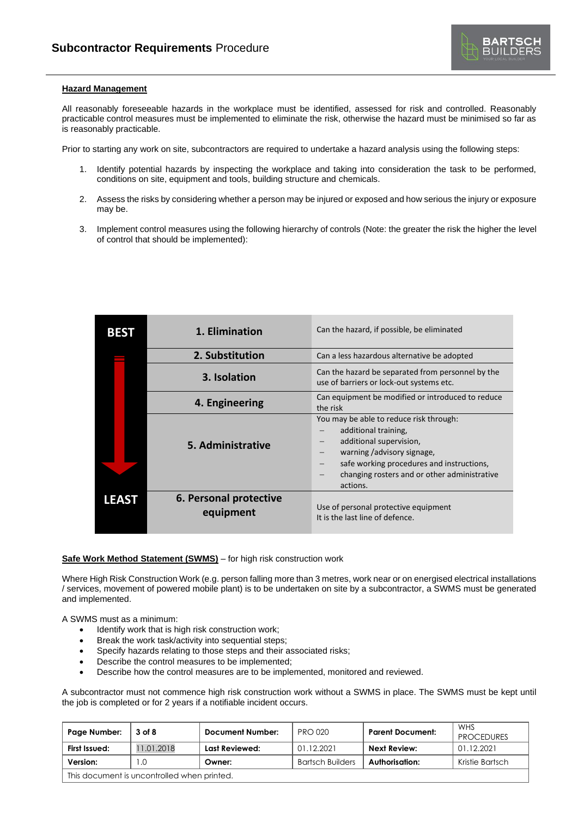

## **Hazard Management**

All reasonably foreseeable hazards in the workplace must be identified, assessed for risk and controlled. Reasonably practicable control measures must be implemented to eliminate the risk, otherwise the hazard must be minimised so far as is reasonably practicable.

Prior to starting any work on site, subcontractors are required to undertake a hazard analysis using the following steps:

- 1. Identify potential hazards by inspecting the workplace and taking into consideration the task to be performed, conditions on site, equipment and tools, building structure and chemicals.
- 2. Assess the risks by considering whether a person may be injured or exposed and how serious the injury or exposure may be.
- 3. Implement control measures using the following hierarchy of controls (Note: the greater the risk the higher the level of control that should be implemented):

| <b>BEST</b>  | 1. Elimination                      | Can the hazard, if possible, be eliminated                                                                                                                                                                                        |  |
|--------------|-------------------------------------|-----------------------------------------------------------------------------------------------------------------------------------------------------------------------------------------------------------------------------------|--|
|              | 2. Substitution                     | Can a less hazardous alternative be adopted                                                                                                                                                                                       |  |
|              | 3. Isolation                        | Can the hazard be separated from personnel by the<br>use of barriers or lock-out systems etc.                                                                                                                                     |  |
|              | 4. Engineering                      | Can equipment be modified or introduced to reduce<br>the risk                                                                                                                                                                     |  |
|              | 5. Administrative                   | You may be able to reduce risk through:<br>additional training,<br>additional supervision,<br>warning /advisory signage,<br>safe working procedures and instructions,<br>changing rosters and or other administrative<br>actions. |  |
| <b>LEAST</b> | 6. Personal protective<br>equipment | Use of personal protective equipment<br>It is the last line of defence.                                                                                                                                                           |  |

# **Safe Work Method Statement (SWMS)** – for high risk construction work

Where High Risk Construction Work (e.g. person falling more than 3 metres, work near or on energised electrical installations / services, movement of powered mobile plant) is to be undertaken on site by a subcontractor, a SWMS must be generated and implemented.

A SWMS must as a minimum:

- Identify work that is high risk construction work;
- Break the work task/activity into sequential steps;
- Specify hazards relating to those steps and their associated risks;
- Describe the control measures to be implemented;
- Describe how the control measures are to be implemented, monitored and reviewed.

A subcontractor must not commence high risk construction work without a SWMS in place. The SWMS must be kept until the job is completed or for 2 years if a notifiable incident occurs.

| Page Number:                                | 3 of 8     | <b>Document Number:</b> | <b>PRO 020</b>          | <b>Parent Document:</b> | <b>WHS</b><br><b>PROCEDURES</b> |
|---------------------------------------------|------------|-------------------------|-------------------------|-------------------------|---------------------------------|
| First Issued:                               | 11.01.2018 | Last Reviewed:          | 01.12.2021              | <b>Next Review:</b>     | 01.12.2021                      |
| Version:                                    | l .O       | Owner:                  | <b>Bartsch Builders</b> | Authorisation:          | Kristie Bartsch                 |
| This document is uncontrolled when printed. |            |                         |                         |                         |                                 |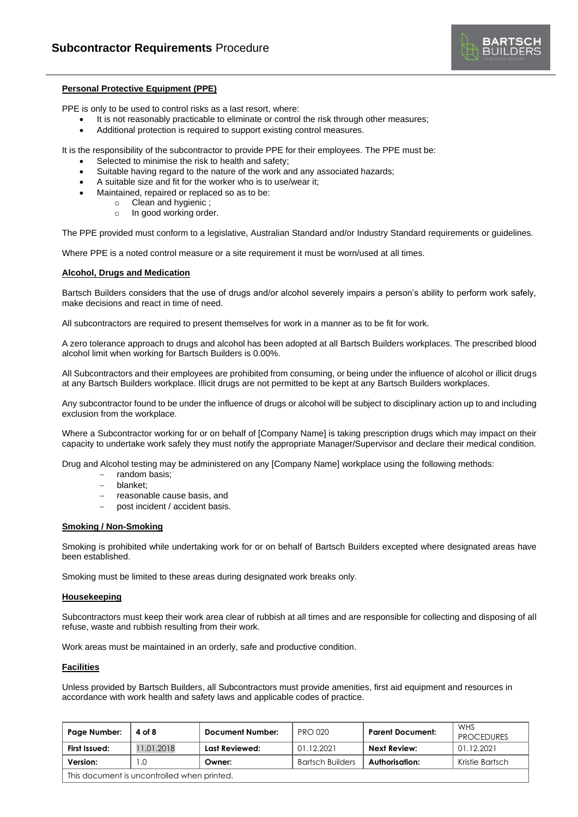

## **Personal Protective Equipment (PPE)**

PPE is only to be used to control risks as a last resort, where:

- It is not reasonably practicable to eliminate or control the risk through other measures;
- Additional protection is required to support existing control measures.

It is the responsibility of the subcontractor to provide PPE for their employees. The PPE must be:

- Selected to minimise the risk to health and safety;
- Suitable having regard to the nature of the work and any associated hazards;
- A suitable size and fit for the worker who is to use/wear it;
- Maintained, repaired or replaced so as to be:
	- o Clean and hygienic ;
	- o In good working order.

The PPE provided must conform to a legislative, Australian Standard and/or Industry Standard requirements or guidelines.

Where PPE is a noted control measure or a site requirement it must be worn/used at all times.

#### **Alcohol, Drugs and Medication**

Bartsch Builders considers that the use of drugs and/or alcohol severely impairs a person's ability to perform work safely, make decisions and react in time of need.

All subcontractors are required to present themselves for work in a manner as to be fit for work.

A zero tolerance approach to drugs and alcohol has been adopted at all Bartsch Builders workplaces. The prescribed blood alcohol limit when working for Bartsch Builders is 0.00%.

All Subcontractors and their employees are prohibited from consuming, or being under the influence of alcohol or illicit drugs at any Bartsch Builders workplace. Illicit drugs are not permitted to be kept at any Bartsch Builders workplaces.

Any subcontractor found to be under the influence of drugs or alcohol will be subject to disciplinary action up to and including exclusion from the workplace.

Where a Subcontractor working for or on behalf of [Company Name] is taking prescription drugs which may impact on their capacity to undertake work safely they must notify the appropriate Manager/Supervisor and declare their medical condition.

Drug and Alcohol testing may be administered on any [Company Name] workplace using the following methods:

- − random basis;
- − blanket;
- − reasonable cause basis, and
- post incident / accident basis.

## **Smoking / Non-Smoking**

Smoking is prohibited while undertaking work for or on behalf of Bartsch Builders excepted where designated areas have been established.

Smoking must be limited to these areas during designated work breaks only.

#### **Housekeeping**

Subcontractors must keep their work area clear of rubbish at all times and are responsible for collecting and disposing of all refuse, waste and rubbish resulting from their work.

Work areas must be maintained in an orderly, safe and productive condition.

# **Facilities**

Unless provided by Bartsch Builders, all Subcontractors must provide amenities, first aid equipment and resources in accordance with work health and safety laws and applicable codes of practice.

| Page Number:                                | 4 of 8     | Document Number: | <b>PRO 020</b>          | <b>Parent Document:</b> | WHS<br><b>PROCEDURES</b> |
|---------------------------------------------|------------|------------------|-------------------------|-------------------------|--------------------------|
| First Issued:                               | 11.01.2018 | Last Reviewed:   | 01.12.2021              | Next Review:            | 01.12.2021               |
| Version:                                    | . .0       | Owner:           | <b>Bartsch Builders</b> | Authorisation:          | Kristie Bartsch          |
| This document is uncontrolled when printed. |            |                  |                         |                         |                          |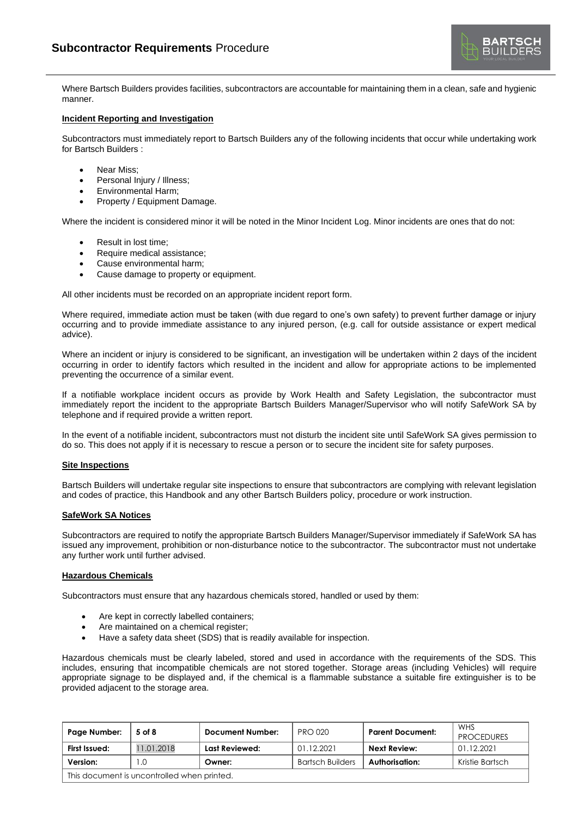Where Bartsch Builders provides facilities, subcontractors are accountable for maintaining them in a clean, safe and hygienic manner.

## **Incident Reporting and Investigation**

Subcontractors must immediately report to Bartsch Builders any of the following incidents that occur while undertaking work for Bartsch Builders :

- Near Miss;
- Personal Injury / Illness;
- Environmental Harm;
- Property / Equipment Damage.

Where the incident is considered minor it will be noted in the Minor Incident Log. Minor incidents are ones that do not:

- Result in lost time;
- Require medical assistance;
- Cause environmental harm;
- Cause damage to property or equipment.

All other incidents must be recorded on an appropriate incident report form.

Where required, immediate action must be taken (with due regard to one's own safety) to prevent further damage or injury occurring and to provide immediate assistance to any injured person, (e.g. call for outside assistance or expert medical advice).

Where an incident or injury is considered to be significant, an investigation will be undertaken within 2 days of the incident occurring in order to identify factors which resulted in the incident and allow for appropriate actions to be implemented preventing the occurrence of a similar event.

If a notifiable workplace incident occurs as provide by Work Health and Safety Legislation, the subcontractor must immediately report the incident to the appropriate Bartsch Builders Manager/Supervisor who will notify SafeWork SA by telephone and if required provide a written report.

In the event of a notifiable incident, subcontractors must not disturb the incident site until SafeWork SA gives permission to do so. This does not apply if it is necessary to rescue a person or to secure the incident site for safety purposes.

#### **Site Inspections**

Bartsch Builders will undertake regular site inspections to ensure that subcontractors are complying with relevant legislation and codes of practice, this Handbook and any other Bartsch Builders policy, procedure or work instruction.

#### **SafeWork SA Notices**

Subcontractors are required to notify the appropriate Bartsch Builders Manager/Supervisor immediately if SafeWork SA has issued any improvement, prohibition or non-disturbance notice to the subcontractor. The subcontractor must not undertake any further work until further advised.

### **Hazardous Chemicals**

Subcontractors must ensure that any hazardous chemicals stored, handled or used by them:

- Are kept in correctly labelled containers;
- Are maintained on a chemical register;
- Have a safety data sheet (SDS) that is readily available for inspection.

Hazardous chemicals must be clearly labeled, stored and used in accordance with the requirements of the SDS. This includes, ensuring that incompatible chemicals are not stored together. Storage areas (including Vehicles) will require appropriate signage to be displayed and, if the chemical is a flammable substance a suitable fire extinguisher is to be provided adjacent to the storage area.

| Page Number:                                | 5 of 8     | <b>Document Number:</b> | <b>PRO 020</b>          | <b>Parent Document:</b> | WHS<br><b>PROCEDURES</b> |
|---------------------------------------------|------------|-------------------------|-------------------------|-------------------------|--------------------------|
| First Issued:                               | 11.01.2018 | Last Reviewed:          | 01.12.2021              | Next Review:            | 01.12.2021               |
| Version:                                    | I .O       | Owner:                  | <b>Bartsch Builders</b> | Authorisation:          | Kristie Bartsch          |
| This document is uncontrolled when printed. |            |                         |                         |                         |                          |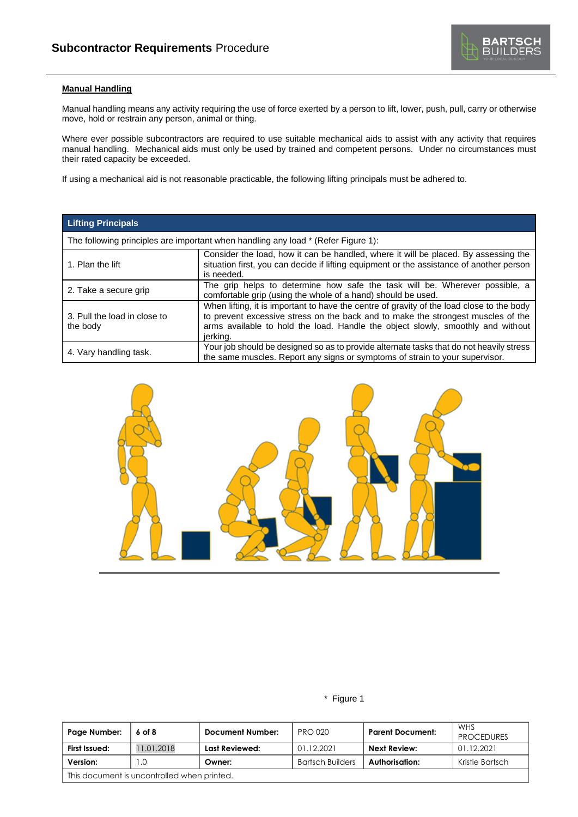

# **Manual Handling**

Manual handling means any activity requiring the use of force exerted by a person to lift, lower, push, pull, carry or otherwise move, hold or restrain any person, animal or thing.

Where ever possible subcontractors are required to use suitable mechanical aids to assist with any activity that requires manual handling. Mechanical aids must only be used by trained and competent persons. Under no circumstances must their rated capacity be exceeded.

If using a mechanical aid is not reasonable practicable, the following lifting principals must be adhered to.

| <b>Lifting Principals</b>                |                                                                                                                                                                                                                                                                              |  |  |  |  |
|------------------------------------------|------------------------------------------------------------------------------------------------------------------------------------------------------------------------------------------------------------------------------------------------------------------------------|--|--|--|--|
|                                          | The following principles are important when handling any load * (Refer Figure 1):                                                                                                                                                                                            |  |  |  |  |
| 1. Plan the lift                         | Consider the load, how it can be handled, where it will be placed. By assessing the<br>situation first, you can decide if lifting equipment or the assistance of another person<br>is needed.                                                                                |  |  |  |  |
| 2. Take a secure grip                    | The grip helps to determine how safe the task will be. Wherever possible, a<br>comfortable grip (using the whole of a hand) should be used.                                                                                                                                  |  |  |  |  |
| 3. Pull the load in close to<br>the body | When lifting, it is important to have the centre of gravity of the load close to the body<br>to prevent excessive stress on the back and to make the strongest muscles of the<br>arms available to hold the load. Handle the object slowly, smoothly and without<br>jerking. |  |  |  |  |
| 4. Vary handling task.                   | Your job should be designed so as to provide alternate tasks that do not heavily stress<br>the same muscles. Report any signs or symptoms of strain to your supervisor.                                                                                                      |  |  |  |  |



\* Figure 1

| Page Number:                                | 6 of 8     | <b>Document Number:</b> | <b>PRO 020</b>          | <b>Parent Document:</b> | WHS<br><b>PROCEDURES</b> |
|---------------------------------------------|------------|-------------------------|-------------------------|-------------------------|--------------------------|
| First Issued:                               | 11.01.2018 | Last Reviewed:          | 01.12.2021              | Next Review:            | 01.12.2021               |
| Version:                                    |            | Owner:                  | <b>Bartsch Builders</b> | Authorisation:          | Kristie Bartsch          |
| This document is uncontrolled when printed. |            |                         |                         |                         |                          |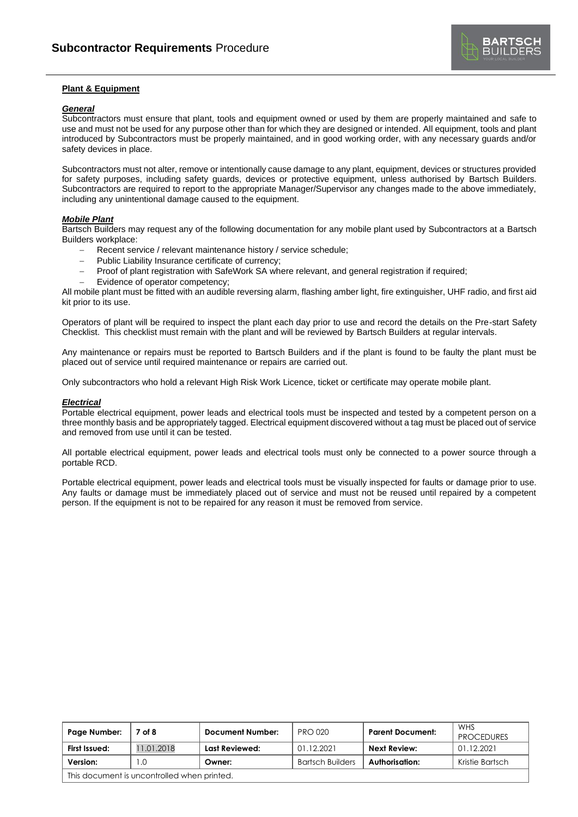

# **Plant & Equipment**

## *General*

Subcontractors must ensure that plant, tools and equipment owned or used by them are properly maintained and safe to use and must not be used for any purpose other than for which they are designed or intended. All equipment, tools and plant introduced by Subcontractors must be properly maintained, and in good working order, with any necessary guards and/or safety devices in place.

Subcontractors must not alter, remove or intentionally cause damage to any plant, equipment, devices or structures provided for safety purposes, including safety guards, devices or protective equipment, unless authorised by Bartsch Builders. Subcontractors are required to report to the appropriate Manager/Supervisor any changes made to the above immediately, including any unintentional damage caused to the equipment.

# *Mobile Plant*

Bartsch Builders may request any of the following documentation for any mobile plant used by Subcontractors at a Bartsch Builders workplace:

- Recent service / relevant maintenance history / service schedule;
- Public Liability Insurance certificate of currency;
- − Proof of plant registration with SafeWork SA where relevant, and general registration if required;
- Evidence of operator competency;

All mobile plant must be fitted with an audible reversing alarm, flashing amber light, fire extinguisher, UHF radio, and first aid kit prior to its use.

Operators of plant will be required to inspect the plant each day prior to use and record the details on the Pre-start Safety Checklist. This checklist must remain with the plant and will be reviewed by Bartsch Builders at regular intervals.

Any maintenance or repairs must be reported to Bartsch Builders and if the plant is found to be faulty the plant must be placed out of service until required maintenance or repairs are carried out.

Only subcontractors who hold a relevant High Risk Work Licence, ticket or certificate may operate mobile plant.

# *Electrical*

Portable electrical equipment, power leads and electrical tools must be inspected and tested by a competent person on a three monthly basis and be appropriately tagged. Electrical equipment discovered without a tag must be placed out of service and removed from use until it can be tested.

All portable electrical equipment, power leads and electrical tools must only be connected to a power source through a portable RCD.

Portable electrical equipment, power leads and electrical tools must be visually inspected for faults or damage prior to use. Any faults or damage must be immediately placed out of service and must not be reused until repaired by a competent person. If the equipment is not to be repaired for any reason it must be removed from service.

| Page Number:                                | 7 of 8     | <b>Document Number:</b> | <b>PRO 020</b>          | <b>Parent Document:</b> | WHS<br><b>PROCEDURES</b> |
|---------------------------------------------|------------|-------------------------|-------------------------|-------------------------|--------------------------|
| First Issued:                               | 11.01.2018 | Last Reviewed:          | 01.12.2021              | Next Review:            | 01.12.2021               |
| Version:                                    | .0         | Owner:                  | <b>Bartsch Builders</b> | Authorisation:          | Kristie Bartsch          |
| This document is uncontrolled when printed. |            |                         |                         |                         |                          |